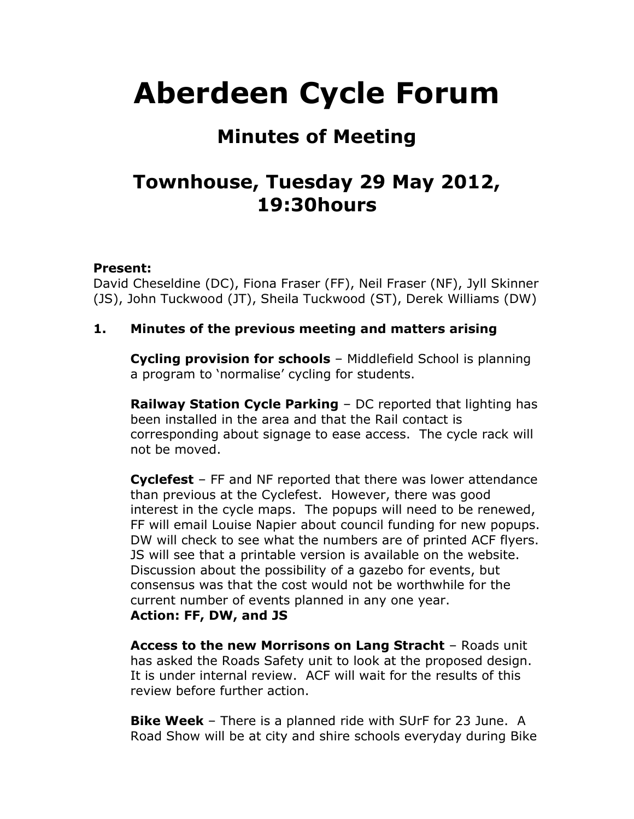# **Aberdeen Cycle Forum**

## **Minutes of Meeting**

## **Townhouse, Tuesday 29 May 2012, 19:30hours**

#### **Present:**

David Cheseldine (DC), Fiona Fraser (FF), Neil Fraser (NF), Jyll Skinner (JS), John Tuckwood (JT), Sheila Tuckwood (ST), Derek Williams (DW)

#### **1. Minutes of the previous meeting and matters arising**

**Cycling provision for schools** – Middlefield School is planning a program to 'normalise' cycling for students.

**Railway Station Cycle Parking** – DC reported that lighting has been installed in the area and that the Rail contact is corresponding about signage to ease access. The cycle rack will not be moved.

**Cyclefest** – FF and NF reported that there was lower attendance than previous at the Cyclefest. However, there was good interest in the cycle maps. The popups will need to be renewed, FF will email Louise Napier about council funding for new popups. DW will check to see what the numbers are of printed ACF flyers. JS will see that a printable version is available on the website. Discussion about the possibility of a gazebo for events, but consensus was that the cost would not be worthwhile for the current number of events planned in any one year. **Action: FF, DW, and JS**

**Access to the new Morrisons on Lang Stracht** – Roads unit has asked the Roads Safety unit to look at the proposed design. It is under internal review. ACF will wait for the results of this review before further action.

**Bike Week** – There is a planned ride with SUrF for 23 June. A Road Show will be at city and shire schools everyday during Bike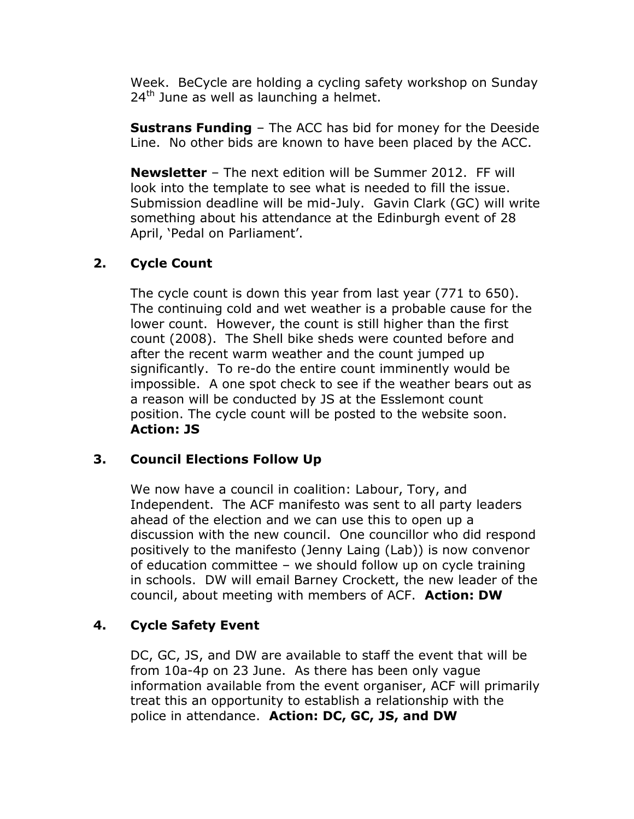Week. BeCycle are holding a cycling safety workshop on Sunday  $24<sup>th</sup>$  June as well as launching a helmet.

**Sustrans Funding** – The ACC has bid for money for the Deeside Line. No other bids are known to have been placed by the ACC.

**Newsletter** – The next edition will be Summer 2012. FF will look into the template to see what is needed to fill the issue. Submission deadline will be mid-July. Gavin Clark (GC) will write something about his attendance at the Edinburgh event of 28 April, 'Pedal on Parliament'.

#### **2. Cycle Count**

The cycle count is down this year from last year (771 to 650). The continuing cold and wet weather is a probable cause for the lower count. However, the count is still higher than the first count (2008). The Shell bike sheds were counted before and after the recent warm weather and the count jumped up significantly. To re-do the entire count imminently would be impossible. A one spot check to see if the weather bears out as a reason will be conducted by JS at the Esslemont count position. The cycle count will be posted to the website soon. **Action: JS**

#### **3. Council Elections Follow Up**

We now have a council in coalition: Labour, Tory, and Independent. The ACF manifesto was sent to all party leaders ahead of the election and we can use this to open up a discussion with the new council. One councillor who did respond positively to the manifesto (Jenny Laing (Lab)) is now convenor of education committee – we should follow up on cycle training in schools. DW will email Barney Crockett, the new leader of the council, about meeting with members of ACF. **Action: DW**

#### **4. Cycle Safety Event**

DC, GC, JS, and DW are available to staff the event that will be from 10a-4p on 23 June. As there has been only vague information available from the event organiser, ACF will primarily treat this an opportunity to establish a relationship with the police in attendance. **Action: DC, GC, JS, and DW**